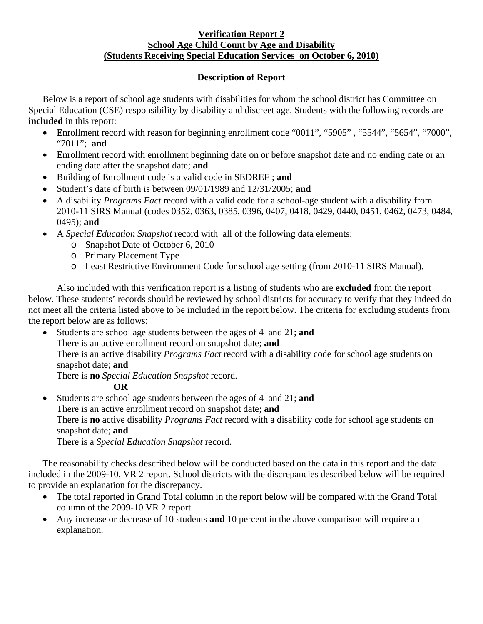## **Verification Report 2 School Age Child Count by Age and Disability (Students Receiving Special Education Services on October 6, 2010)**

## **Description of Report**

Below is a report of school age students with disabilities for whom the school district has Committee on Special Education (CSE) responsibility by disability and discreet age. Students with the following records are **included** in this report:

- Enrollment record with reason for beginning enrollment code "0011", "5905", "5544", "5654", "7000", "7011"; **and**
- Enrollment record with enrollment beginning date on or before snapshot date and no ending date or an ending date after the snapshot date; **and**
- Building of Enrollment code is a valid code in SEDREF ; **and**
- Student's date of birth is between 09/01/1989 and 12/31/2005; **and**
- A disability *Programs Fact* record with a valid code for a school-age student with a disability from 2010-11 SIRS Manual (codes 0352, 0363, 0385, 0396, 0407, 0418, 0429, 0440, 0451, 0462, 0473, 0484, 0495); **and**
- A *Special Education Snapshot* record with all of the following data elements:
	- o Snapshot Date of October 6, 2010
	- o Primary Placement Type
	- o Least Restrictive Environment Code for school age setting (from 2010-11 SIRS Manual).

Also included with this verification report is a listing of students who are **excluded** from the report below. These students' records should be reviewed by school districts for accuracy to verify that they indeed do not meet all the criteria listed above to be included in the report below. The criteria for excluding students from the report below are as follows:

• Students are school age students between the ages of 4 and 21; **and**  There is an active enrollment record on snapshot date; **and** There is an active disability *Programs Fact* record with a disability code for school age students on snapshot date; **and**  There is **no** *Special Education Snapshot* record.

## **OR**

• Students are school age students between the ages of 4 and 21; **and** There is an active enrollment record on snapshot date; **and** There is **no** active disability *Programs Fact* record with a disability code for school age students on snapshot date; **and** 

There is a *Special Education Snapshot* record.

The reasonability checks described below will be conducted based on the data in this report and the data included in the 2009-10, VR 2 report. School districts with the discrepancies described below will be required to provide an explanation for the discrepancy.

- The total reported in Grand Total column in the report below will be compared with the Grand Total column of the 2009-10 VR 2 report.
- Any increase or decrease of 10 students **and** 10 percent in the above comparison will require an explanation.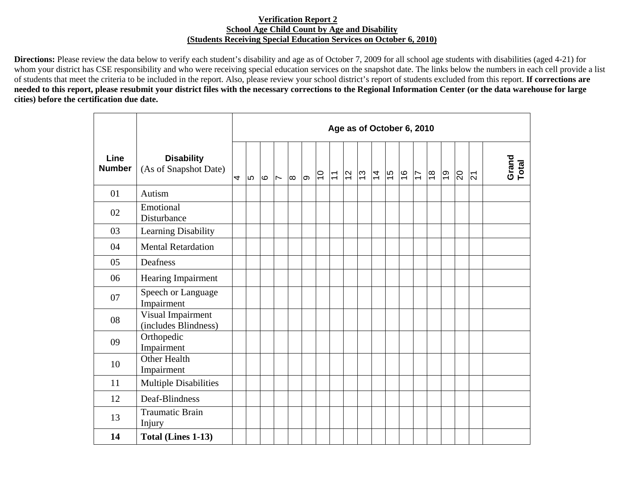## **Verification Report 2 School Age Child Count by Age and Disability (Students Receiving Special Education Services on October 6, 2010)**

**Directions:** Please review the data below to verify each student's disability and age as of October 7, 2009 for all school age students with disabilities (aged 4-21) for whom your district has CSE responsibility and who were receiving special education services on the snapshot date. The links below the numbers in each cell provide a list of students that meet the criteria to be included in the report. Also, please review your school district's report of students excluded from this report. **If corrections are needed to this report, please resubmit your district files with the necessary corrections to the Regional Information Center (or the data warehouse for large cities) before the certification due date.** 

|                       |                                            | Age as of October 6, 2010 |      |      |                          |          |   |                |                           |                |                     |  |               |               |                |            |                |                |                |
|-----------------------|--------------------------------------------|---------------------------|------|------|--------------------------|----------|---|----------------|---------------------------|----------------|---------------------|--|---------------|---------------|----------------|------------|----------------|----------------|----------------|
| Line<br><b>Number</b> | <b>Disability</b><br>(As of Snapshot Date) | 4                         | l LO | l Co | $\overline{\phantom{a}}$ | $\infty$ | ത | $\overline{C}$ | $\overline{\overline{L}}$ | $\overline{2}$ | $ z $ $\frac{1}{4}$ |  | $\frac{6}{7}$ | $\frac{9}{5}$ | $\frac{8}{10}$ | <u>ြင္</u> | $\overline{5}$ | $\overline{2}$ | Grand<br>Total |
| 01                    | Autism                                     |                           |      |      |                          |          |   |                |                           |                |                     |  |               |               |                |            |                |                |                |
| 02                    | Emotional<br>Disturbance                   |                           |      |      |                          |          |   |                |                           |                |                     |  |               |               |                |            |                |                |                |
| 03                    | Learning Disability                        |                           |      |      |                          |          |   |                |                           |                |                     |  |               |               |                |            |                |                |                |
| 04                    | <b>Mental Retardation</b>                  |                           |      |      |                          |          |   |                |                           |                |                     |  |               |               |                |            |                |                |                |
| 05                    | Deafness                                   |                           |      |      |                          |          |   |                |                           |                |                     |  |               |               |                |            |                |                |                |
| 06                    | <b>Hearing Impairment</b>                  |                           |      |      |                          |          |   |                |                           |                |                     |  |               |               |                |            |                |                |                |
| 07                    | Speech or Language<br>Impairment           |                           |      |      |                          |          |   |                |                           |                |                     |  |               |               |                |            |                |                |                |
| 08                    | Visual Impairment<br>(includes Blindness)  |                           |      |      |                          |          |   |                |                           |                |                     |  |               |               |                |            |                |                |                |
| 09                    | Orthopedic<br>Impairment                   |                           |      |      |                          |          |   |                |                           |                |                     |  |               |               |                |            |                |                |                |
| 10                    | Other Health<br>Impairment                 |                           |      |      |                          |          |   |                |                           |                |                     |  |               |               |                |            |                |                |                |
| 11                    | <b>Multiple Disabilities</b>               |                           |      |      |                          |          |   |                |                           |                |                     |  |               |               |                |            |                |                |                |
| 12                    | Deaf-Blindness                             |                           |      |      |                          |          |   |                |                           |                |                     |  |               |               |                |            |                |                |                |
| 13                    | <b>Traumatic Brain</b><br>Injury           |                           |      |      |                          |          |   |                |                           |                |                     |  |               |               |                |            |                |                |                |
| 14                    | Total (Lines 1-13)                         |                           |      |      |                          |          |   |                |                           |                |                     |  |               |               |                |            |                |                |                |